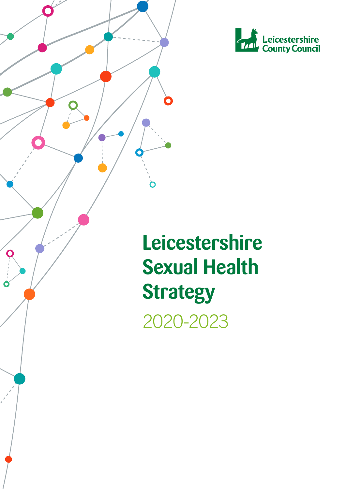



**Leicestershire Sexual Health Strategy** 2020-2023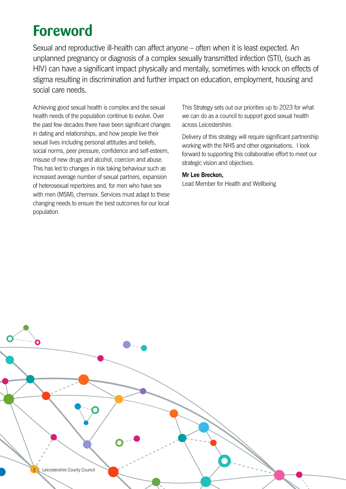## **Foreword**

Sexual and reproductive ill-health can affect anyone – often when it is least expected. An unplanned pregnancy or diagnosis of a complex sexually transmitted infection (STI), (such as HIV) can have a significant impact physically and mentally, sometimes with knock on effects of stigma resulting in discrimination and further impact on education, employment, housing and social care needs.

Achieving good sexual health is complex and the sexual health needs of the population continue to evolve. Over the past few decades there have been significant changes in dating and relationships, and how people live their sexual lives including personal attitudes and beliefs, social norms, peer pressure, confidence and self-esteem, misuse of new drugs and alcohol, coercion and abuse. This has led to changes in risk taking behaviour such as increased average number of sexual partners, expansion of heterosexual repertoires and, for men who have sex with men (MSM), chemsex. Services must adapt to these changing needs to ensure the best outcomes for our local population.

This Strategy sets out our priorities up to 2023 for what we can do as a council to support good sexual health across Leicestershire.

Delivery of this strategy will require significant partnership working with the NHS and other organisations. I look forward to supporting this collaborative effort to meet our strategic vision and objectives.

#### **Mr Lee Breckon,**

Lead Member for Health and Wellbeing

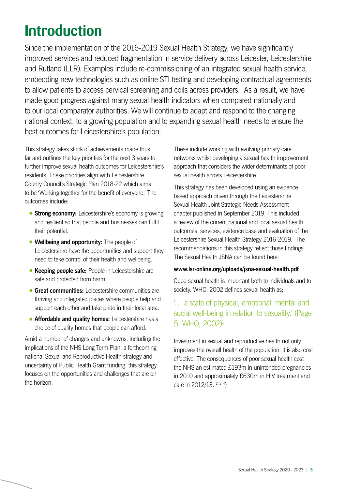## <span id="page-2-0"></span>**Introduction**

Since the implementation of the 2016-2019 Sexual Health Strategy, we have significantly improved services and reduced fragmentation in service delivery across Leicester, Leicestershire and Rutland (LLR). Examples include re-commissioning of an integrated sexual health service, embedding new technologies such as online STI testing and developing contractual agreements to allow patients to access cervical screening and coils across providers. As a result, we have made good progress against many sexual health indicators when compared nationally and to our local comparator authorities. We will continue to adapt and respond to the changing national context, to a growing population and to expanding sexual health needs to ensure the best outcomes for Leicestershire's population.

This strategy takes stock of achievements made thus far and outlines the key priorities for the next 3 years to further improve sexual health outcomes for Leicestershire's residents. These priorities align with Leicestershire County Council's Strategic Plan 2018-22 which aims to be 'Working together for the benefit of everyone.' The outcomes include:

- **Strong economy:** Leicestershire's economy is growing and resilient so that people and businesses can fulfil their potential.
- **•Wellbeing and opportunity:** The people of Leicestershire have the opportunities and support they need to take control of their health and wellbeing.
- **•Keeping people safe:** People in Leicestershire are safe and protected from harm.
- **•Great communities:** Leicestershire communities are thriving and integrated places where people help and support each other and take pride in their local area.
- **•Affordable and quality homes:** Leicestershire has a choice of quality homes that people can afford.

Amid a number of changes and unknowns, including the implications of the NHS Long Term Plan, a forthcoming national Sexual and Reproductive Health strategy and uncertainty of Public Health Grant funding, this strategy focuses on the opportunities and challenges that are on the horizon.

These include working with evolving primary care networks whilst developing a sexual health improvement approach that considers the wider determinants of poor sexual health across Leicestershire.

This strategy has been developed using an evidence based approach driven through the Leicestershire Sexual Health Joint Strategic Needs Assessment chapter published in September 2019. This included a review of the current national and local sexual health outcomes, services, evidence base and evaluation of the Leicestershire Sexual Health Strategy 2016-2019. The recommendations in this strategy reflect those findings. The Sexual Health JSNA can be found here:

#### **www.lsr-online.org/uploads/jsna-sexual-health.pdf**

Good sexual health is important both to individuals and to society. WHO, 2002 defines sexual health as;

#### '… a state of physical, emotional, mental and social well-being in relation to sexuality.' (Page 5, WHO, 2002[\)1](#page-14-0)

Investment in sexual and reproductive health not only improves the overall health of the population, it is also cost effective. The consequences of poor sexual health cost the NHS an estimated £193m in unintended pregnancies in 2010 and approximately £630m in HIV treatment and care in [2](#page-14-0)012/1[3](#page-14-0). <sup>2 3 [4](#page-14-0)</sup>)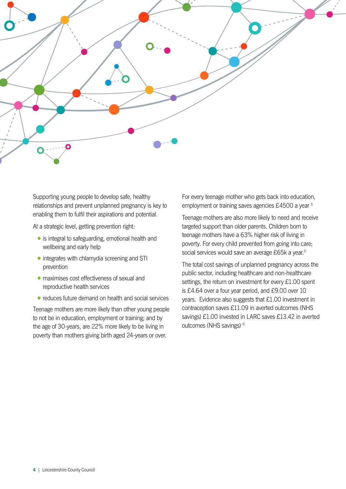<span id="page-3-0"></span>

Supporting young people to develop safe, healthy relationships and prevent unplanned pregnancy is key to enabling them to fulfil their aspirations and potential.

At a strategic level, getting prevention right:

- is integral to safeguarding, emotional health and wellbeing and early help
- integrates with chlamydia screening and STI prevention
- maximises cost effectiveness of sexual and reproductive health services
- reduces future demand on health and social services

Teenage mothers are more likely than other young people to not be in education, employment or training; and by the age of 30-years, are 22% more likely to be living in poverty than mothers giving birth aged 24-years or over.

For every teenage mother who gets back into education, employment or training saves agencies £4500 a year [5](#page-14-0)

Teenage mothers are also more likely to need and receive targeted support than older parents. Children born to teenage mothers have a 63% higher risk of living in poverty. For every child prevented from going into care; social services would save an average £65k a year.<sup>5</sup>

The total cost savings of unplanned pregnancy across the public sector, including healthcare and non-healthcare settings, the return on investment for every £1.00 spent is £4.64 over a four year period, and £9.00 over 10 years. Evidence also suggests that £1.00 investment in contraception saves £11.09 in averted outcomes (NHS savings) £1.00 invested in LARC saves £13.42 in averted outcomes (NHS savings) <sup>6</sup>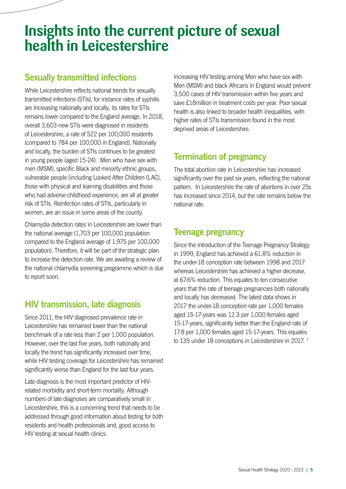## <span id="page-4-0"></span>**Insights into the current picture of sexual health in Leicestershire**

#### **Sexually transmitted infections**

While Leicestershire reflects national trends for sexually transmitted infections (STIs), for instance rates of syphilis are increasing nationally and locally, its rates for STIs remains lower compared to the England average. In 2018, overall 3,603 new STIs were diagnosed in residents of Leicestershire, a rate of 522 per 100,000 residents (compared to 784 per 100,000 in England). Nationally and locally, the burden of STIs continues to be greatest in young people (aged 15-24). Men who have sex with men (MSM), specific Black and minority ethnic groups, vulnerable people (including Looked After Children (LAC), those with physical and learning disabilities and those who had adverse childhood experience, are all at greater risk of STIs. Reinfection rates of STIs, particularly in women, are an issue in some areas of the county.

Chlamydia detection rates in Leicestershire are lower than the national average (1,703 per 100,000 population compared to the England average of 1,975 per 100,000 population). Therefore, it will be part of the strategic plan to increase the detection rate. We are awaiting a review of the national chlamydia screening programme which is due to report soon.

#### **HIV transmission, late diagnosis**

Since 2011, the HIV diagnosed prevalence rate in Leicestershire has remained lower than the national benchmark of a rate less than 2 per 1,000 population. However, over the last five years, both nationally and locally the trend has significantly increased over time, while HIV testing coverage for Leicestershire has remained significantly worse than England for the last four years.

Late diagnosis is the most important predictor of HIVrelated morbidity and short-term mortality. Although numbers of late diagnoses are comparatively small in Leicestershire, this is a concerning trend that needs to be addressed through good information about testing for both residents and health professionals and, good access to HIV testing at sexual health clinics.

Increasing HIV testing among Men who have sex with Men (MSM) and black Africans in England would prevent 3,500 cases of HIV transmission within five years and save £18million in treatment costs per year. Poor sexual health is also linked to broader health inequalities, with higher rates of STIs transmission found in the most deprived areas of Leicestershire.

#### **Termination of pregnancy**

The total abortion rate in Leicestershire has increased significantly over the past six years, reflecting the national pattern. In Leicestershire the rate of abortions in over 25s has increased since 2014, but the rate remains below the national rate.

#### **Teenage pregnancy**

Since the introduction of the Teenage Pregnancy Strategy in 1999, England has achieved a 61.8% reduction in the under-18 conception rate between 1998 and 2017 whereas Leicestershire has achieved a higher decrease, at 67.6% reduction. This equates to ten consecutive years that the rate of teenage pregnancies both nationally and locally has decreased. The latest data shows in 2017 the under-18 conception rate per 1,000 females aged 15-17-years was 12.3 per 1,000 females aged 15-17-years, significantly better than the England rate of 17.8 per 1,000 females aged 15-17-years. This equates to 135 under 18 conceptions in Leicestershire in 2017.<sup>7</sup>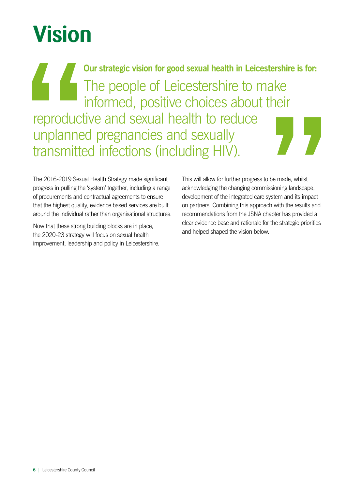# **Vision**

**Our strategic vision for good sexual health in Leicestershire is for:** The people of Leicestershire to make informed, positive choices about their reproductive and sexual health to reduce unplanned pregnancies and sexually transmitted infections (including HIV).

The 2016-2019 Sexual Health Strategy made significant progress in pulling the 'system' together, including a range of procurements and contractual agreements to ensure that the highest quality, evidence based services are built around the individual rather than organisational structures.

Now that these strong building blocks are in place, the 2020-23 strategy will focus on sexual health improvement, leadership and policy in Leicestershire.

This will allow for further progress to be made, whilst acknowledging the changing commissioning landscape, development of the integrated care system and its impact on partners. Combining this approach with the results and recommendations from the JSNA chapter has provided a clear evidence base and rationale for the strategic priorities and helped shaped the vision below.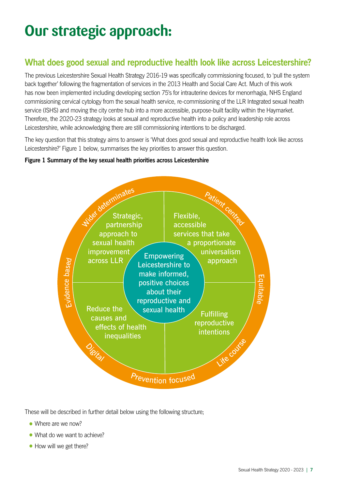## **Our strategic approach:**

#### **What does good sexual and reproductive health look like across Leicestershire?**

The previous Leicestershire Sexual Health Strategy 2016-19 was specifically commissioning focused, to 'pull the system back together' following the fragmentation of services in the 2013 Health and Social Care Act. Much of this work has now been implemented including developing section 75's for intrauterine devices for menorrhagia, NHS England commissioning cervical cytology from the sexual health service, re-commissioning of the LLR Integrated sexual health service (ISHS) and moving the city centre hub into a more accessible, purpose-built facility within the Haymarket. Therefore, the 2020-23 strategy looks at sexual and reproductive health into a policy and leadership role across Leicestershire, while acknowledging there are still commissioning intentions to be discharged.

The key question that this strategy aims to answer is 'What does good sexual and reproductive health look like across Leicestershire?' Figure 1 below, summarises the key priorities to answer this question.

#### **Figure 1 Summary of the key sexual health priorities across Leicestershire**



These will be described in further detail below using the following structure;

- Where are we now?
- What do we want to achieve?
- How will we get there?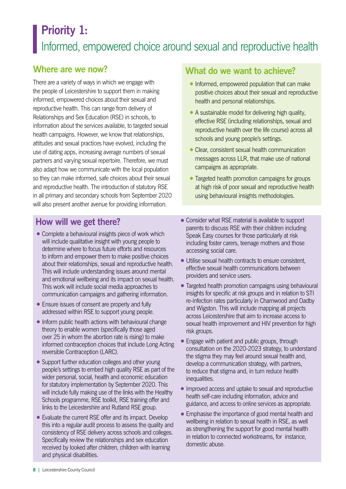### **Priority 1:**  Informed, empowered choice around sexual and reproductive health

#### **Where are we now?**

There are a variety of ways in which we engage with the people of Leicestershire to support them in making informed, empowered choices about their sexual and reproductive health. This can range from delivery of Relationships and Sex Education (RSE) in schools, to information about the services available, to targeted sexual health campaigns. However, we know that relationships, attitudes and sexual practices have evolved, including the use of dating apps, increasing average numbers of sexual partners and varying sexual repertoire. Therefore, we must also adapt how we communicate with the local population so they can make informed, safe choices about their sexual and reproductive health. The introduction of statutory RSE in all primary and secondary schools from September 2020 will also present another avenue for providing information.

#### **What do we want to achieve?**

- Informed, empowered population that can make positive choices about their sexual and reproductive health and personal relationships.
- A sustainable model for delivering high quality, effective RSE (including relationships, sexual and reproductive health over the life course) across all schools and young people's settings.
- Clear, consistent sexual health communication messages across LLR, that make use of national campaigns as appropriate.
- Targeted health promotion campaigns for groups at high risk of poor sexual and reproductive health using behavioural insights methodologies.

- Complete a behavioural insights piece of work which will include qualitative insight with young people to determine where to focus future efforts and resources to inform and empower them to make positive choices about their relationships, sexual and reproductive health. This will include understanding issues around mental and emotional wellbeing and its impact on sexual health. This work will include social media approaches to communication campaigns and gathering information.
- Ensure issues of consent are properly and fully addressed within RSE to support young people.
- Inform public health actions with behavioural change theory to enable women (specifically those aged over 25 in whom the abortion rate is rising) to make informed contraception choices that include Long Acting reversible Contraception (LARC).
- Support further education colleges and other young people's settings to embed high quality RSE as part of the wider personal, social, health and economic education for statutory implementation by September 2020. This will include fully making use of the links with the Healthy Schools programme, RSE toolkit, RSE training offer and links to the Leicestershire and Rutland RSE group.
- Evaluate the current RSE offer and its impact. Develop this into a regular audit process to assess the quality and consistency of RSE delivery across schools and colleges. Specifically review the relationships and sex education received by looked after children, children with learning and physical disabilities.
- Consider what RSE material is available to support parents to discuss RSE with their children including Speak Easy courses for those particularly at risk including foster carers, teenage mothers and those accessing social care.
- Utilise sexual health contracts to ensure consistent, effective sexual health communications between providers and service users.
- Targeted health promotion campaigns using behavioural insights for specific at risk groups and in relation to STI re-infection rates particularly in Charnwood and Oadby and Wigston. This will include mapping all projects across Leicestershire that aim to increase access to sexual health improvement and HIV prevention for high risk groups.
- Engage with patient and public groups, through consultation on the 2020-2023 strategy, to understand the stigma they may feel around sexual health and, develop a communication strategy, with partners, to reduce that stigma and, in turn reduce health inequalities.
- Improved access and uptake to sexual and reproductive health self-care including information, advice and guidance, and access to online services as appropriate.
- •Emphasise the importance of good mental health and wellbeing in relation to sexual health in RSE, as well as strengthening the support for good mental health in relation to connected workstreams, for instance, domestic abuse.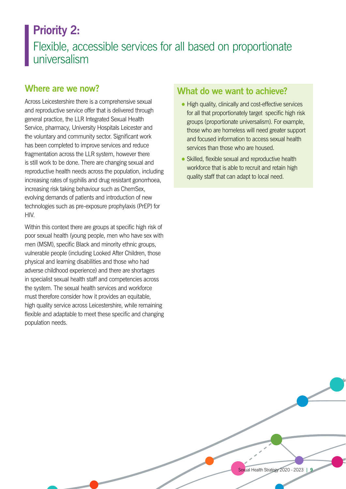### **Priority 2:**

### Flexible, accessible services for all based on proportionate universalism

#### **Where are we now?**

Across Leicestershire there is a comprehensive sexual and reproductive service offer that is delivered through general practice, the LLR Integrated Sexual Health Service, pharmacy, University Hospitals Leicester and the voluntary and community sector. Significant work has been completed to improve services and reduce fragmentation across the LLR system, however there is still work to be done. There are changing sexual and reproductive health needs across the population, including increasing rates of syphilis and drug resistant gonorrhoea, increasing risk taking behaviour such as ChemSex, evolving demands of patients and introduction of new technologies such as pre-exposure prophylaxis (PrEP) for HIV.

Within this context there are groups at specific high risk of poor sexual health (young people, men who have sex with men (MSM), specific Black and minority ethnic groups, vulnerable people (including Looked After Children, those physical and learning disabilities and those who had adverse childhood experience) and there are shortages in specialist sexual health staff and competencies across the system. The sexual health services and workforce must therefore consider how it provides an equitable, high quality service across Leicestershire, while remaining flexible and adaptable to meet these specific and changing population needs.

#### **What do we want to achieve?**

- High quality, clinically and cost-effective services for all that proportionately target specific high risk groups (proportionate universalism). For example, those who are homeless will need greater support and focused information to access sexual health services than those who are housed.
- Skilled, flexible sexual and reproductive health workforce that is able to recruit and retain high quality staff that can adapt to local need.

Sexual Health Strategy 2020 - 2023 **| 9**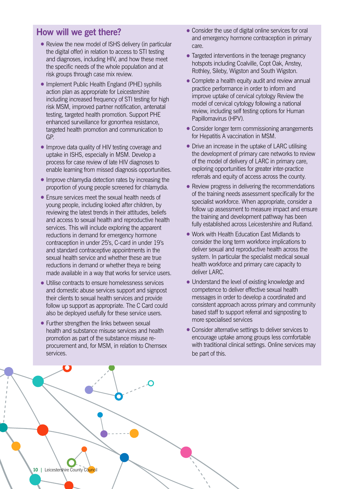- Review the new model of ISHS delivery (in particular the digital offer) in relation to access to STI testing and diagnoses, including HIV, and how these meet the specific needs of the whole population and at risk groups through case mix review.
- Implement Public Health England (PHE) syphilis action plan as appropriate for Leicestershire including increased frequency of STI testing for high risk MSM, improved partner notification, antenatal testing, targeted health promotion. Support PHE enhanced surveillance for gonorrhea resistance, targeted health promotion and communication to GP.
- Improve data quality of HIV testing coverage and uptake in ISHS, especially in MSM. Develop a process for case review of late HIV diagnoses to enable learning from missed diagnosis opportunities.
- Improve chlamydia detection rates by increasing the proportion of young people screened for chlamydia.
- Fnsure services meet the sexual health needs of young people, including looked after children, by reviewing the latest trends in their attitudes, beliefs and access to sexual health and reproductive health services. This will include exploring the apparent reductions in demand for emergency hormone contraception in under 25's, C-card in under 19's and standard contraceptive appointments in the sexual health service and whether these are true reductions in demand or whether theya re being made available in a way that works for service users.
- •Utilise contracts to ensure homelessness services and domestic abuse services support and signpost their clients to sexual health services and provide follow up support as appropriate. The C Card could also be deployed usefully for these service users.
- Further strengthen the links between sexual health and substance misuse services and health promotion as part of the substance misuse reprocurement and, for MSM, in relation to Chemsex services.
- Consider the use of digital online services for oral and emergency hormone contraception in primary care.
- Targeted interventions in the teenage pregnancy hotspots including Coalville, Copt Oak, Anstey, Rothley, Sileby, Wigston and South Wigston.
- Complete a health equity audit and review annual practice performance in order to inform and improve uptake of cervical cytology Review the model of cervical cytology following a national review, including self testing options for Human Papillomavirus (HPV).
- Consider longer term commissioning arrangements for Hepatitis A vaccination in MSM.
- Drive an increase in the uptake of LARC utilising the development of primary care networks to review of the model of delivery of LARC in primary care, exploring opportunities for greater inter-practice referrals and equity of access across the county.
- Review progress in delivering the recommendations of the training needs assessment specifically for the specialist workforce. When appropriate, consider a follow up assessment to measure impact and ensure the training and development pathway has been fully established across Leicestershire and Rutland.
- Work with Health Education East Midlands to consider the long term workforce implications to deliver sexual and reproductive health across the system. In particular the specialist medical sexual health workforce and primary care capacity to deliver LARC.
- Understand the level of existing knowledge and competence to deliver effective sexual health messages in order to develop a coordinated and consistent approach across primary and community based staff to support referral and signposting to more specialised services
- •Consider alternative settings to deliver services to encourage uptake among groups less comfortable with traditional clinical settings. Online services may be part of this.

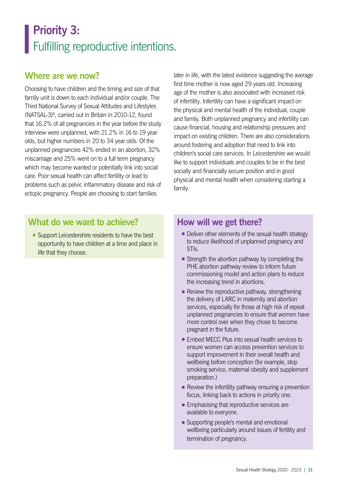## <span id="page-10-0"></span>**Priority 3:**  Fulfilling reproductive intentions.

#### **Where are we now?**

Choosing to have children and the timing and size of that family unit is down to each individual and/or couple. The Third National Survey of Sexual Attitudes and Lifestyles (NATSAL-3)[8](#page-14-0), carried out in Britain in 2010-12, found that 16.2% of all pregnancies in the year before the study interview were unplanned, with 21.2% in 16 to 19 year olds, but higher numbers in 20 to 34 year olds. Of the unplanned pregnancies 42% ended in an abortion, 32% miscarriage and 25% went on to a full term pregnancy which may become wanted or potentially link into social care. Poor sexual health can affect fertility or lead to problems such as pelvic inflammatory disease and risk of ectopic pregnancy. People are choosing to start families

later in life, with the latest evidence suggesting the average first time mother is now aged 29 years old. Increasing age of the mother is also associated with increased risk of infertility. Infertility can have a significant impact on the physical and mental health of the individual, couple and family. Both unplanned pregnancy and infertility can cause financial, housing and relationship pressures and impact on existing children. There are also considerations around fostering and adoption that need to link into children's social care services. In Leicestershire we would like to support individuals and couples to be in the best socially and financially secure position and in good physical and mental health when considering starting a family.

#### **What do we want to achieve?**

• Support Leicestershire residents to have the best opportunity to have children at a time and place in life that they choose.

- Deliver other elements of the sexual health strategy to reduce likelihood of unplanned pregnancy and STIs.
- Strength the abortion pathway by completing the PHE abortion pathway review to inform future commissioning model and action plans to reduce the increasing trend in abortions.
- Review the reproductive pathway, strengthening the delivery of LARC in maternity and abortion services, especially for those at high risk of repeat unplanned pregnancies to ensure that women have more control over when they chose to become pregnant in the future.
- •Embed MECC Plus into sexual health services to ensure women can access prevention services to support improvement in their overall health and wellbeing before conception (for example, stop smoking service, maternal obesity and supplement preparation.)
- Review the infertility pathway ensuring a prevention focus, linking back to actions in priority one.
- Emphasising that reproductive services are available to everyone.
- Supporting people's mental and emotional wellbeing particularly around issues of fertility and termination of pregnancy.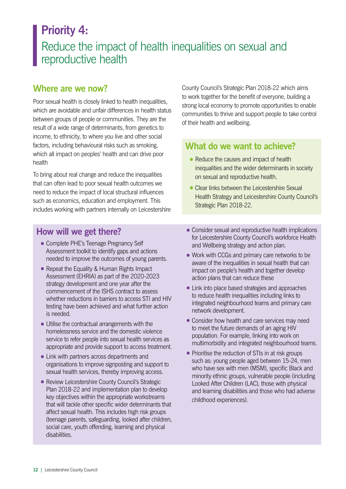### **Priority 4:**  Reduce the impact of health inequalities on sexual and reproductive health

#### **Where are we now?**

Poor sexual health is closely linked to health inequalities, which are avoidable and unfair differences in health status between groups of people or communities. They are the result of a wide range of determinants, from genetics to income, to ethnicity, to where you live and other social factors, including behavioural risks such as smoking, which all impact on peoples' health and can drive poor health

To bring about real change and reduce the inequalities that can often lead to poor sexual health outcomes we need to reduce the impact of local structural influences such as economics, education and employment. This includes working with partners internally on Leicestershire

#### **How will we get there?**

- Complete PHE's Teenage Pregnancy Self Assessment toolkit to identify gaps and actions needed to improve the outcomes of young parents.
- Repeat the Equality & Human Rights Impact Assessment (EHRIA) as part of the 2020-2023 strategy development and one year after the commencement of the ISHS contract to assess whether reductions in barriers to access STI and HIV testing have been achieved and what further action is needed.
- •Utilise the contractual arrangements with the homelessness service and the domestic violence service to refer people into sexual health services as appropriate and provide support to access treatment.
- Link with partners across departments and organisations to improve signposting and support to sexual health services, thereby improving access.
- •Review Leicestershire County Council's Strategic Plan 2018-22 and implementation plan to develop key objectives within the appropriate workstreams that will tackle other specific wider determinants that affect sexual health. This includes high risk groups (teenage parents, safeguarding, looked after children, social care, youth offending, learning and physical disabilities.

County Council's Strategic Plan 2018-22 which aims to work together for the benefit of everyone, building a strong local economy to promote opportunities to enable communities to thrive and support people to take control of their health and wellbeing.

#### **What do we want to achieve?**

- Reduce the causes and impact of health inequalities and the wider determinants in society on sexual and reproductive health.
- Clear links between the Leicestershire Sexual Health Strategy and Leicestershire County Council's Strategic Plan 2018-22.
- Consider sexual and reproductive health implications for Leicestershire County Council's workforce Health and Wellbeing strategy and action plan.
- Work with CCGs and primary care networks to be aware of the inequalities in sexual health that can impact on people's health and together develop action plans that can reduce these
- Link into place based strategies and approaches to reduce health inequalities including links to integrated neighbourhood teams and primary care network development.
- Consider how health and care services may need to meet the future demands of an aging HIV population. For example, linking into work on multimorbidity and integrated neighbourhood teams.
- Prioritise the reduction of STIs in at risk groups such as: young people aged between 15-24, men who have sex with men (MSM), specific Black and minority ethnic groups, vulnerable people (including Looked After Children (LAC), those with physical and learning disabilities and those who had adverse childhood experiences).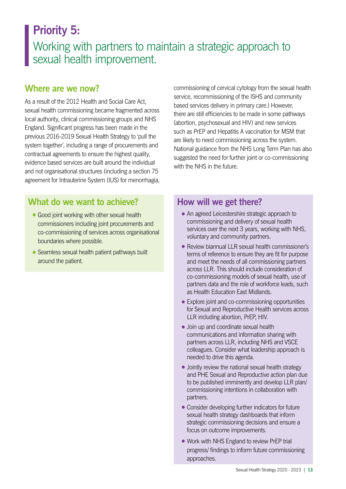### **Priority 5:**

### Working with partners to maintain a strategic approach to sexual health improvement.

#### **Where are we now?**

As a result of the 2012 Health and Social Care Act, sexual health commissioning became fragmented across local authority, clinical commissioning groups and NHS England. Significant progress has been made in the previous 2016-2019 Sexual Health Strategy to 'pull the system together', including a range of procurements and contractual agreements to ensure the highest quality, evidence based services are built around the individual and not organisational structures (including a section 75 agreement for Intrauterine System (IUS) for menorrhagia,

#### **What do we want to achieve?**

- Good joint working with other sexual health commissioners including joint procurements and co-commissioning of services across organisational boundaries where possible.
- Seamless sexual health patient pathways built around the patient.

commissioning of cervical cytology from the sexual health service, recommissioning of the ISHS and community based services delivery in primary care.) However, there are still efficiencies to be made in some pathways (abortion, psychosexual and HIV) and new services such as PrEP and Hepatitis A vaccination for MSM that are likely to need commissioning across the system. National guidance from the NHS Long Term Plan has also suggested the need for further joint or co-commissioning with the NHS in the future.

- An agreed Leicestershire strategic approach to commissioning and delivery of sexual health services over the next 3 years, working with NHS, voluntary and community partners.
- Review biannual LLR sexual health commissioner's terms of reference to ensure they are fit for purpose and meet the needs of all commissioning partners across LLR. This should include consideration of co-commissioning models of sexual health, use of partners data and the role of workforce leads, such as Health Education East Midlands.
- Explore joint and co-commissioning opportunities for Sexual and Reproductive Health services across LLR including abortion, PrEP, HIV.
- •Join up and coordinate sexual health communications and information sharing with partners across LLR, including NHS and VSCE colleagues. Consider what leadership approach is needed to drive this agenda.
- Jointly review the national sexual health strategy and PHE Sexual and Reproductive action plan due to be published imminently and develop LLR plan/ commissioning intentions in collaboration with partners.
- Consider developing further indicators for future sexual health strategy dashboards that inform strategic commissioning decisions and ensure a focus on outcome improvements.
- Work with NHS England to review PrEP trial progress/ findings to inform future commissioning approaches.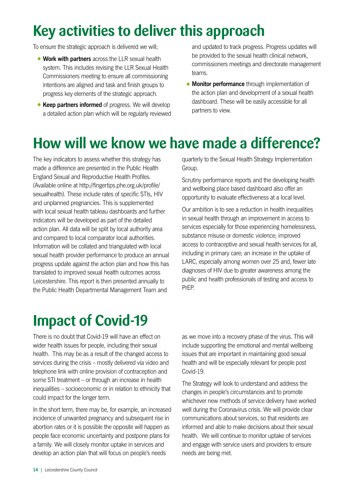## **Key activities to deliver this approach**

To ensure the strategic approach is delivered we will;

- **•Work with partners** across the LLR sexual health system. This includes revising the LLR Sexual Health Commissioners meeting to ensure all commissioning intentions are aligned and task and finish groups to progress key elements of the strategic approach.
- **Keep partners informed** of progress. We will develop a detailed action plan which will be regularly reviewed

and updated to track progress. Progress updates will be provided to the sexual health clinical network, commissioners meetings and directorate management teams.

**•Monitor performance** through implementation of the action plan and development of a sexual health dashboard. These will be easily accessible for all partners to view.

## **How will we know we have made a difference?**

The key indicators to assess whether this strategy has made a difference are presented in the Public Health England Sexual and Reproductive Health Profiles. (Available online at http://fingertips.phe.org.uk/profile/ sexualhealth). These include rates of specific STIs, HIV and unplanned pregnancies. This is supplemented with local sexual health tableau dashboards and further indicators will be developed as part of the detailed action plan. All data will be split by local authority area and compared to local comparator local authorities. Information will be collated and triangulated with local sexual health provider performance to produce an annual progress update against the action plan and how this has translated to improved sexual health outcomes across Leicestershire. This report is then presented annually to the Public Health Departmental Management Team and

quarterly to the Sexual Health Strategy Implementation Group.

Scrutiny performance reports and the developing health and wellbeing place based dashboard also offer an opportunity to evaluate effectiveness at a local level.

Our ambition is to see a reduction in health inequalities in sexual health through an improvement in access to services especially for those experiencing homelessness, substance misuse or domestic violence; improved access to contraceptive and sexual health services for all, including in primary care; an increase in the uptake of LARC, especially among women over 25 and, fewer late diagnoses of HIV due to greater awareness among the public and health professionals of testing and access to PrEP.

## **Impact of Covid-19**

There is no doubt that Covid-19 will have an effect on wider health issues for people, including their sexual health. This may be as a result of the changed access to services during the crisis – mostly delivered via video and telephone link with online provision of contraception and some STI treatment – or through an increase in health inequalities – socioeconomic or in relation to ethnicity that could impact for the longer term.

In the short term, there may be, for example, an increased incidence of unwanted pregnancy and subsequent rise in abortion rates or it is possible the opposite will happen as people face economic uncertainty and postpone plans for a family. We will closely monitor uptake in services and develop an action plan that will focus on people's needs

as we move into a recovery phase of the virus. This will include supporting the emotional and mental wellbeing issues that are important in maintaining good sexual health and will be especially relevant for people post Covid-19.

The Strategy will look to understand and address the changes in people's circumstances and to promote whichever new methods of service delivery have worked well during the Coronavirus crisis. We will provide clear communications about services, so that residents are informed and able to make decisions about their sexual health. We will continue to monitor uptake of services and engage with service users and providers to ensure needs are being met.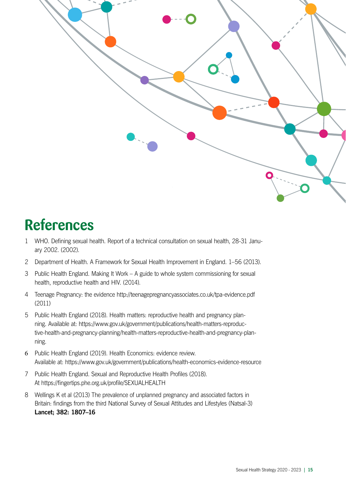<span id="page-14-0"></span>

## **References**

- [1](#page-2-0) WHO. Defining sexual health. Report of a technical consultation on sexual health, 28-31 January 2002. (2002).
- [2](#page-2-0) Department of Health. A Framework for Sexual Health Improvement in England. 1–56 (2013).
- [3](#page-2-0) Public Health England. Making It Work A guide to whole system commissioning for sexual health, reproductive health and HIV. (2014).
- [4](#page-2-0) Teenage Pregnancy: the evidence http://teenagepregnancyassociates.co.uk/tpa-evidence.pdf (2011)
- [5](#page-3-0) Public Health England (2018). Health matters: reproductive health and pregnancy planning. Available at: https://www.gov.uk/government/publications/health-matters-reproductive-health-and-pregnancy-planning/health-matters-reproductive-health-and-pregnancy-planning.
- [6](#page-3-0) Public Health England (2019). Health Economics: evidence review. Available at: https://www.gov.uk/government/publications/health-economics-evidence-resource
- [7](#page-4-0) Public Health England. Sexual and Reproductive Health Profiles (2018). At https://fingertips.phe.org.uk/profile/SEXUALHEALTH
- [8](#page-10-0) Wellings K et al (2013) The prevalence of unplanned pregnancy and associated factors in Britain: findings from the third National Survey of Sexual Attitudes and Lifestyles (Natsal-3) **Lancet; 382: 1807–16**